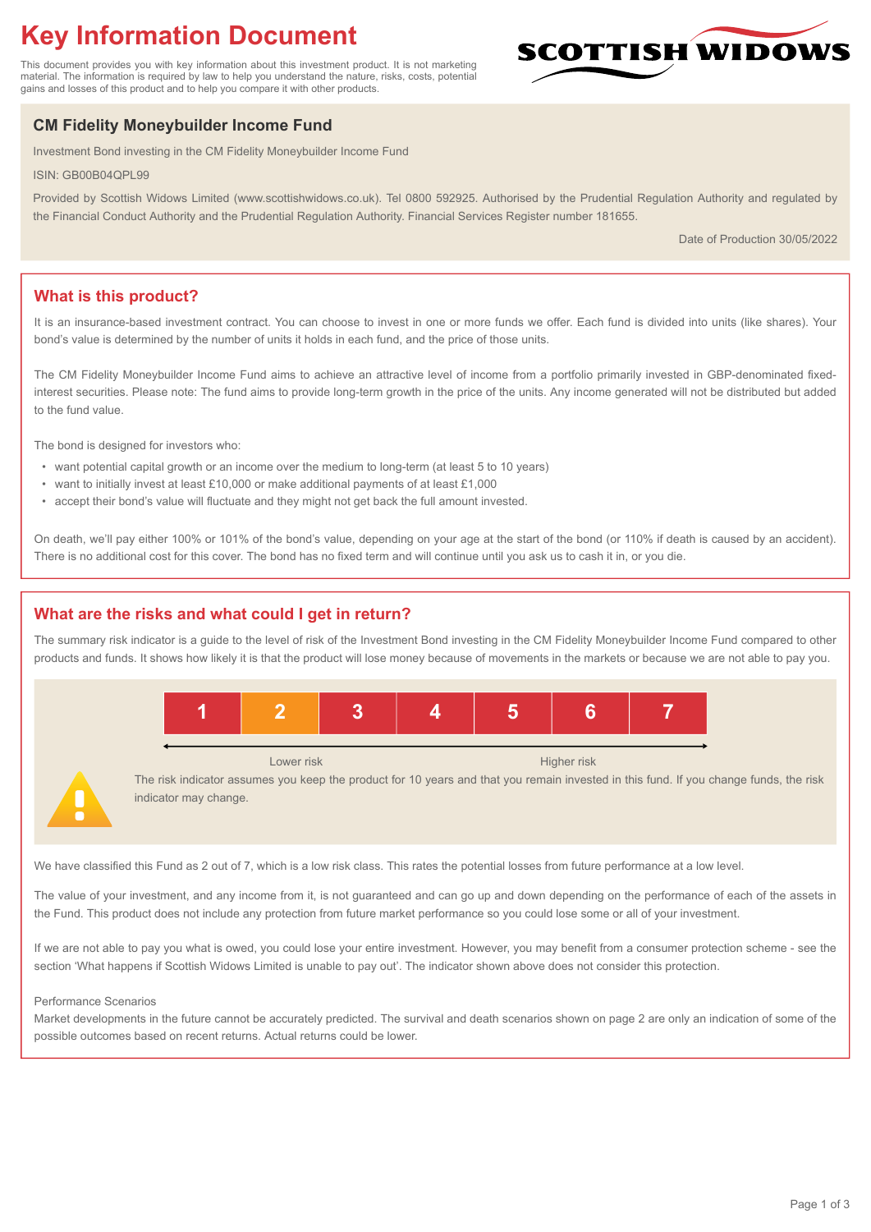# **Key Information Document**

This document provides you with key information about this investment product. It is not marketing material. The information is required by law to help you understand the nature, risks, costs, potential gains and losses of this product and to help you compare it with other products.

## **CM Fidelity Moneybuilder Income Fund**

Investment Bond investing in the CM Fidelity Moneybuilder Income Fund

ISIN: GB00B04QPL99

Provided by Scottish Widows Limited (www.scottishwidows.co.uk). Tel 0800 592925. Authorised by the Prudential Regulation Authority and regulated by the Financial Conduct Authority and the Prudential Regulation Authority. Financial Services Register number 181655.

Date of Production 30/05/2022

**SCOTTISH WIDOW** 

## **What is this product?**

It is an insurance-based investment contract. You can choose to invest in one or more funds we offer. Each fund is divided into units (like shares). Your bond's value is determined by the number of units it holds in each fund, and the price of those units.

The CM Fidelity Moneybuilder Income Fund aims to achieve an attractive level of income from a portfolio primarily invested in GBP-denominated fixedinterest securities. Please note: The fund aims to provide long-term growth in the price of the units. Any income generated will not be distributed but added to the fund value.

The bond is designed for investors who:

- want potential capital growth or an income over the medium to long-term (at least 5 to 10 years)
- want to initially invest at least £10,000 or make additional payments of at least £1,000
- accept their bond's value will fluctuate and they might not get back the full amount invested.

On death, we'll pay either 100% or 101% of the bond's value, depending on your age at the start of the bond (or 110% if death is caused by an accident). There is no additional cost for this cover. The bond has no fixed term and will continue until you ask us to cash it in, or you die.

## **What are the risks and what could I get in return?**

The summary risk indicator is a guide to the level of risk of the Investment Bond investing in the CM Fidelity Moneybuilder Income Fund compared to other products and funds. It shows how likely it is that the product will lose money because of movements in the markets or because we are not able to pay you.



Lower risk Higher risk

The risk indicator assumes you keep the product for 10 years and that you remain invested in this fund. If you change funds, the risk indicator may change.

We have classified this Fund as 2 out of 7, which is a low risk class. This rates the potential losses from future performance at a low level.

The value of your investment, and any income from it, is not guaranteed and can go up and down depending on the performance of each of the assets in the Fund. This product does not include any protection from future market performance so you could lose some or all of your investment.

If we are not able to pay you what is owed, you could lose your entire investment. However, you may benefit from a consumer protection scheme - see the section 'What happens if Scottish Widows Limited is unable to pay out'. The indicator shown above does not consider this protection.

#### Performance Scenarios

Market developments in the future cannot be accurately predicted. The survival and death scenarios shown on page 2 are only an indication of some of the possible outcomes based on recent returns. Actual returns could be lower.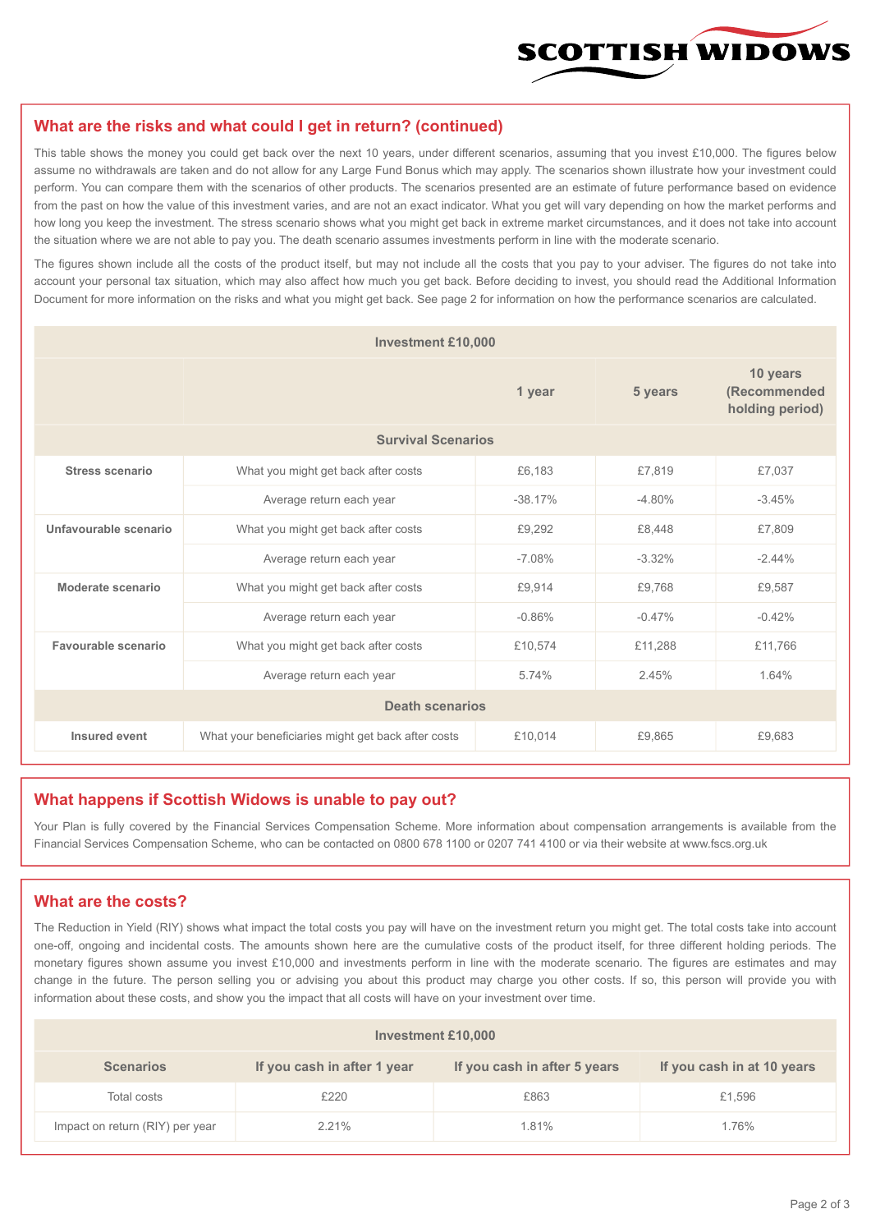

#### **What are the risks and what could I get in return? (continued)**

This table shows the money you could get back over the next 10 years, under different scenarios, assuming that you invest £10,000. The figures below assume no withdrawals are taken and do not allow for any Large Fund Bonus which may apply. The scenarios shown illustrate how your investment could perform. You can compare them with the scenarios of other products. The scenarios presented are an estimate of future performance based on evidence from the past on how the value of this investment varies, and are not an exact indicator. What you get will vary depending on how the market performs and how long you keep the investment. The stress scenario shows what you might get back in extreme market circumstances, and it does not take into account the situation where we are not able to pay you. The death scenario assumes investments perform in line with the moderate scenario.

The figures shown include all the costs of the product itself, but may not include all the costs that you pay to your adviser. The figures do not take into account your personal tax situation, which may also affect how much you get back. Before deciding to invest, you should read the Additional Information Document for more information on the risks and what you might get back. See page 2 for information on how the performance scenarios are calculated.

| <b>Investment £10,000</b> |                                                    |          |          |                                             |  |  |
|---------------------------|----------------------------------------------------|----------|----------|---------------------------------------------|--|--|
|                           |                                                    | 1 year   | 5 years  | 10 years<br>(Recommended<br>holding period) |  |  |
| <b>Survival Scenarios</b> |                                                    |          |          |                                             |  |  |
| <b>Stress scenario</b>    | £6,183<br>What you might get back after costs      |          | £7,819   | £7,037                                      |  |  |
|                           | $-38.17%$<br>Average return each year              |          | $-4.80%$ | $-3.45%$                                    |  |  |
| Unfavourable scenario     | What you might get back after costs<br>£9,292      |          | £8.448   | £7,809                                      |  |  |
|                           | Average return each year                           | $-7.08%$ | $-3.32%$ | $-2.44%$                                    |  |  |
| Moderate scenario         | What you might get back after costs                | £9,914   | £9,768   | £9,587                                      |  |  |
|                           | Average return each year                           | $-0.86%$ | $-0.47%$ | $-0.42%$                                    |  |  |
| Favourable scenario       | What you might get back after costs                | £10,574  | £11,288  | £11,766                                     |  |  |
|                           | Average return each year                           | 5.74%    | 2.45%    | 1.64%                                       |  |  |
| <b>Death scenarios</b>    |                                                    |          |          |                                             |  |  |
| Insured event             | What your beneficiaries might get back after costs | £10,014  | £9.865   | £9,683                                      |  |  |

#### **What happens if Scottish Widows is unable to pay out?**

Your Plan is fully covered by the Financial Services Compensation Scheme. More information about compensation arrangements is available from the Financial Services Compensation Scheme, who can be contacted on 0800 678 1100 or 0207 741 4100 or via their website at www.fscs.org.uk

#### **What are the costs?**

The Reduction in Yield (RIY) shows what impact the total costs you pay will have on the investment return you might get. The total costs take into account one-off, ongoing and incidental costs. The amounts shown here are the cumulative costs of the product itself, for three different holding periods. The monetary figures shown assume you invest £10,000 and investments perform in line with the moderate scenario. The figures are estimates and may change in the future. The person selling you or advising you about this product may charge you other costs. If so, this person will provide you with information about these costs, and show you the impact that all costs will have on your investment over time.

| <b>Investment £10,000</b>       |                             |                              |                            |  |  |  |
|---------------------------------|-----------------------------|------------------------------|----------------------------|--|--|--|
| <b>Scenarios</b>                | If you cash in after 1 year | If you cash in after 5 years | If you cash in at 10 years |  |  |  |
| Total costs                     | £220                        | £863                         | £1,596                     |  |  |  |
| Impact on return (RIY) per year | 2.21%                       | 1.81%                        | 1.76%                      |  |  |  |